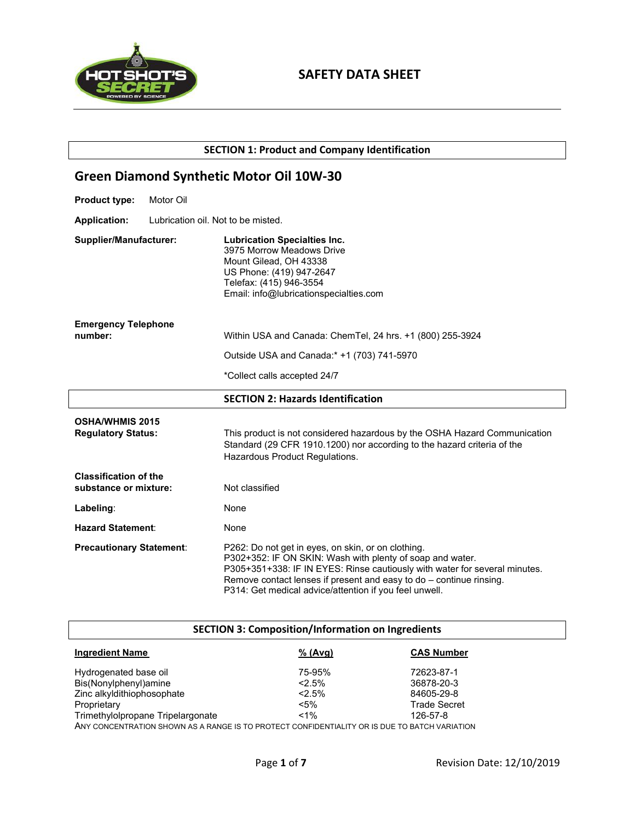

**SECTION 1: Product and Company Identification**

# **Green Diamond Synthetic Motor Oil 10W-30**

- **Product type:** Motor Oil
- **Application:** Lubrication oil. Not to be misted.

| Supplier/Manufacturer:                              | <b>Lubrication Specialties Inc.</b><br>3975 Morrow Meadows Drive<br>Mount Gilead, OH 43338<br>US Phone: (419) 947-2647<br>Telefax: (415) 946-3554<br>Email: info@lubricationspecialties.com                                                                                                                                      |
|-----------------------------------------------------|----------------------------------------------------------------------------------------------------------------------------------------------------------------------------------------------------------------------------------------------------------------------------------------------------------------------------------|
| <b>Emergency Telephone</b><br>number:               |                                                                                                                                                                                                                                                                                                                                  |
|                                                     | Within USA and Canada: ChemTel, 24 hrs. +1 (800) 255-3924                                                                                                                                                                                                                                                                        |
|                                                     | Outside USA and Canada:* +1 (703) 741-5970                                                                                                                                                                                                                                                                                       |
|                                                     | *Collect calls accepted 24/7                                                                                                                                                                                                                                                                                                     |
|                                                     | <b>SECTION 2: Hazards Identification</b>                                                                                                                                                                                                                                                                                         |
| <b>OSHA/WHMIS 2015</b><br><b>Regulatory Status:</b> | This product is not considered hazardous by the OSHA Hazard Communication<br>Standard (29 CFR 1910.1200) nor according to the hazard criteria of the<br>Hazardous Product Regulations.                                                                                                                                           |
| <b>Classification of the</b>                        |                                                                                                                                                                                                                                                                                                                                  |
| substance or mixture:                               | Not classified                                                                                                                                                                                                                                                                                                                   |
| Labeling:                                           | None                                                                                                                                                                                                                                                                                                                             |
| <b>Hazard Statement:</b>                            | None                                                                                                                                                                                                                                                                                                                             |
| <b>Precautionary Statement:</b>                     | P262: Do not get in eyes, on skin, or on clothing.<br>P302+352: IF ON SKIN: Wash with plenty of soap and water.<br>P305+351+338: IF IN EYES: Rinse cautiously with water for several minutes.<br>Remove contact lenses if present and easy to $do$ – continue rinsing.<br>P314: Get medical advice/attention if you feel unwell. |

# **SECTION 3: Composition/Information on Ingredients**

| <b>Ingredient Name</b>            | % (Avg) | <b>CAS Number</b>   |
|-----------------------------------|---------|---------------------|
| Hydrogenated base oil             | 75-95%  | 72623-87-1          |
| Bis(Nonylphenyl)amine             | $2.5\%$ | 36878-20-3          |
| Zinc alkyldithiophosophate        | $2.5\%$ | 84605-29-8          |
| Proprietary                       | $< 5\%$ | <b>Trade Secret</b> |
| Trimethylolpropane Tripelargonate | $< 1\%$ | 126-57-8            |
|                                   |         |                     |

ANY CONCENTRATION SHOWN AS A RANGE IS TO PROTECT CONFIDENTIALITY OR IS DUE TO BATCH VARIATION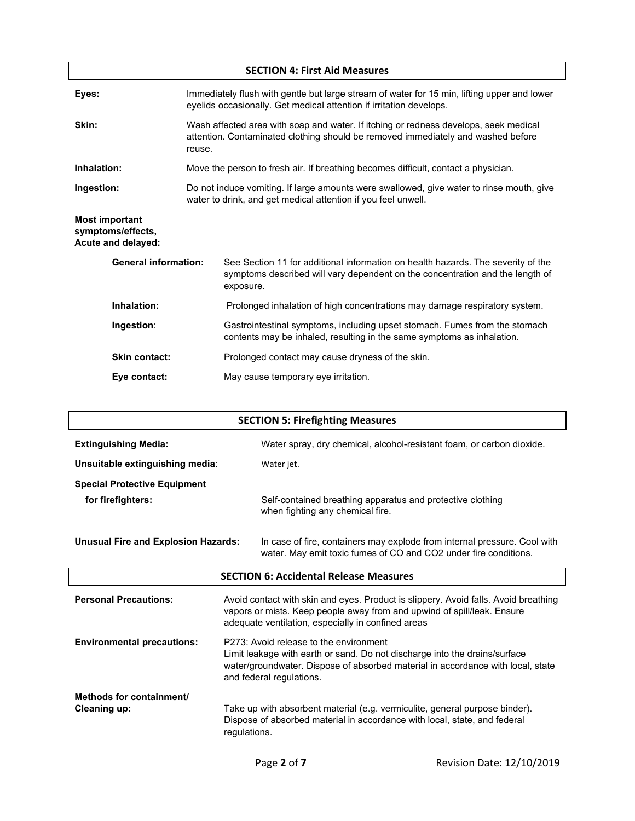| <b>SECTION 4: First Aid Measures</b>                             |                                                                                                                                                                                    |  |  |  |
|------------------------------------------------------------------|------------------------------------------------------------------------------------------------------------------------------------------------------------------------------------|--|--|--|
| Eyes:                                                            | Immediately flush with gentle but large stream of water for 15 min, lifting upper and lower<br>eyelids occasionally. Get medical attention if irritation develops.                 |  |  |  |
| Skin:                                                            | Wash affected area with soap and water. If itching or redness develops, seek medical<br>attention. Contaminated clothing should be removed immediately and washed before<br>reuse. |  |  |  |
| Inhalation:                                                      | Move the person to fresh air. If breathing becomes difficult, contact a physician.                                                                                                 |  |  |  |
| Ingestion:                                                       | Do not induce vomiting. If large amounts were swallowed, give water to rinse mouth, give<br>water to drink, and get medical attention if you feel unwell.                          |  |  |  |
| <b>Most important</b><br>symptoms/effects,<br>Acute and delayed: |                                                                                                                                                                                    |  |  |  |
| <b>General information:</b>                                      | See Section 11 for additional information on health hazards. The severity of the<br>symptoms described will vary dependent on the concentration and the length of<br>exposure.     |  |  |  |
| Inhalation:                                                      | Prolonged inhalation of high concentrations may damage respiratory system.                                                                                                         |  |  |  |
| Ingestion:                                                       | Gastrointestinal symptoms, including upset stomach. Fumes from the stomach<br>contents may be inhaled, resulting in the same symptoms as inhalation.                               |  |  |  |
| <b>Skin contact:</b>                                             | Prolonged contact may cause dryness of the skin.                                                                                                                                   |  |  |  |
| Eye contact:                                                     | May cause temporary eye irritation.                                                                                                                                                |  |  |  |

| <b>SECTION 5: Firefighting Measures</b>         |                                                                                                                                                                                                                                     |                                                                                                                                               |  |
|-------------------------------------------------|-------------------------------------------------------------------------------------------------------------------------------------------------------------------------------------------------------------------------------------|-----------------------------------------------------------------------------------------------------------------------------------------------|--|
| <b>Extinguishing Media:</b>                     |                                                                                                                                                                                                                                     | Water spray, dry chemical, alcohol-resistant foam, or carbon dioxide.                                                                         |  |
| Unsuitable extinguishing media:                 |                                                                                                                                                                                                                                     | Water jet.                                                                                                                                    |  |
| <b>Special Protective Equipment</b>             |                                                                                                                                                                                                                                     |                                                                                                                                               |  |
| for firefighters:                               |                                                                                                                                                                                                                                     | Self-contained breathing apparatus and protective clothing<br>when fighting any chemical fire.                                                |  |
| <b>Unusual Fire and Explosion Hazards:</b>      |                                                                                                                                                                                                                                     | In case of fire, containers may explode from internal pressure. Cool with<br>water. May emit toxic fumes of CO and CO2 under fire conditions. |  |
|                                                 |                                                                                                                                                                                                                                     | <b>SECTION 6: Accidental Release Measures</b>                                                                                                 |  |
| <b>Personal Precautions:</b>                    | Avoid contact with skin and eyes. Product is slippery. Avoid falls. Avoid breathing<br>vapors or mists. Keep people away from and upwind of spill/leak. Ensure<br>adequate ventilation, especially in confined areas                |                                                                                                                                               |  |
| <b>Environmental precautions:</b>               | P273: Avoid release to the environment<br>Limit leakage with earth or sand. Do not discharge into the drains/surface<br>water/groundwater. Dispose of absorbed material in accordance with local, state<br>and federal regulations. |                                                                                                                                               |  |
| Methods for containment/<br><b>Cleaning up:</b> | Take up with absorbent material (e.g. vermiculite, general purpose binder).<br>Dispose of absorbed material in accordance with local, state, and federal<br>regulations.                                                            |                                                                                                                                               |  |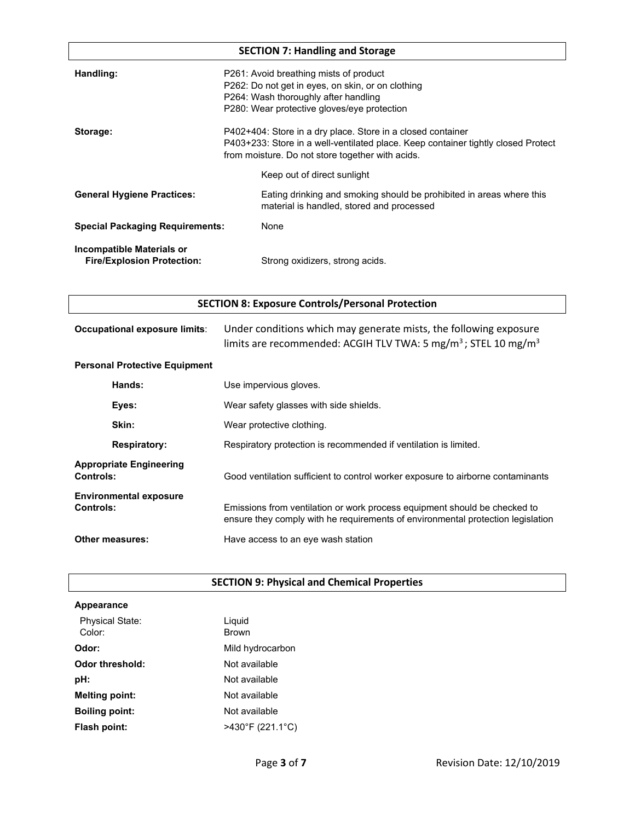| <b>SECTION 7: Handling and Storage</b>                         |                                                                                                                                                                                                      |  |  |
|----------------------------------------------------------------|------------------------------------------------------------------------------------------------------------------------------------------------------------------------------------------------------|--|--|
| Handling:                                                      | P261: Avoid breathing mists of product<br>P262: Do not get in eyes, on skin, or on clothing<br>P264: Wash thoroughly after handling<br>P280: Wear protective gloves/eye protection                   |  |  |
| Storage:                                                       | P402+404: Store in a dry place. Store in a closed container<br>P403+233: Store in a well-ventilated place. Keep container tightly closed Protect<br>from moisture. Do not store together with acids. |  |  |
|                                                                | Keep out of direct sunlight                                                                                                                                                                          |  |  |
| <b>General Hygiene Practices:</b>                              | Eating drinking and smoking should be prohibited in areas where this<br>material is handled, stored and processed                                                                                    |  |  |
| <b>Special Packaging Requirements:</b>                         | None                                                                                                                                                                                                 |  |  |
| Incompatible Materials or<br><b>Fire/Explosion Protection:</b> | Strong oxidizers, strong acids.                                                                                                                                                                      |  |  |

|  |  |  |  | <b>SECTION 8: Exposure Controls/Personal Protection</b> |
|--|--|--|--|---------------------------------------------------------|
|--|--|--|--|---------------------------------------------------------|

| Occupational exposure limits:        | Under conditions which may generate mists, the following exposure<br>limits are recommended: ACGIH TLV TWA: 5 mg/m <sup>3</sup> ; STEL 10 mg/m <sup>3</sup> |  |  |
|--------------------------------------|-------------------------------------------------------------------------------------------------------------------------------------------------------------|--|--|
| <b>Personal Protective Equipment</b> |                                                                                                                                                             |  |  |
| Hande <sup>.</sup>                   | l lea imnarvious alovas.                                                                                                                                    |  |  |

|                                            | Hands:                         | Use impervious gloves.                                                                                                                                       |  |  |
|--------------------------------------------|--------------------------------|--------------------------------------------------------------------------------------------------------------------------------------------------------------|--|--|
| Eyes:                                      |                                | Wear safety glasses with side shields.                                                                                                                       |  |  |
|                                            | Skin:                          | Wear protective clothing.                                                                                                                                    |  |  |
| <b>Respiratory:</b>                        |                                | Respiratory protection is recommended if ventilation is limited.                                                                                             |  |  |
| Controls:                                  | <b>Appropriate Engineering</b> | Good ventilation sufficient to control worker exposure to airborne contaminants                                                                              |  |  |
| <b>Environmental exposure</b><br>Controls: |                                | Emissions from ventilation or work process equipment should be checked to<br>ensure they comply with he requirements of environmental protection legislation |  |  |
|                                            | <b>Other measures:</b>         | Have access to an eye wash station                                                                                                                           |  |  |

# **SECTION 9: Physical and Chemical Properties**

| <b>Appearance</b>                |                                       |
|----------------------------------|---------------------------------------|
| <b>Physical State:</b><br>Color: | Liguid<br><b>Brown</b>                |
| Odor:                            | Mild hydrocarbon                      |
| Odor threshold:                  | Not available                         |
| pH:                              | Not available                         |
| <b>Melting point:</b>            | Not available                         |
| <b>Boiling point:</b>            | Not available                         |
| Flash point:                     | $>430^{\circ}$ F (221.1 $^{\circ}$ C) |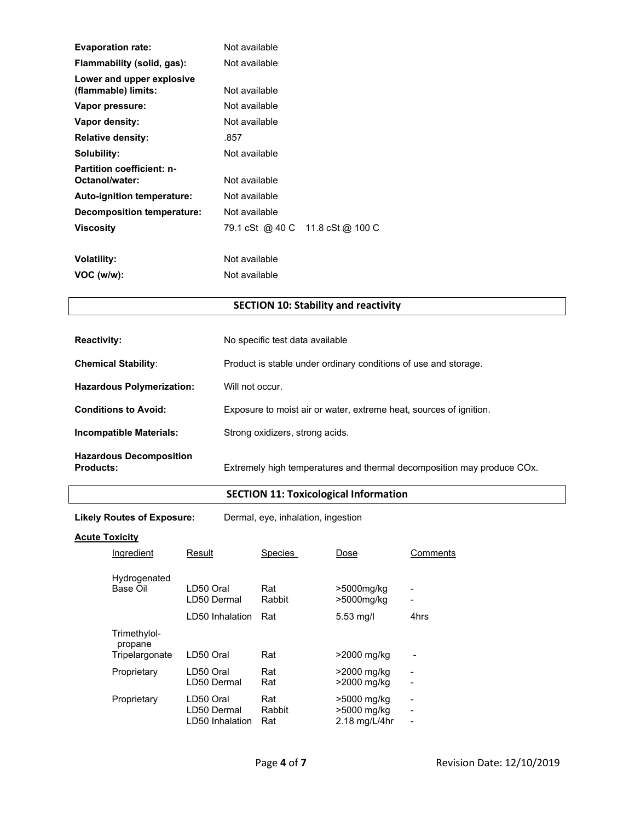| <b>Evaporation rate:</b>                           | Not available   |                  |
|----------------------------------------------------|-----------------|------------------|
| Flammability (solid, gas):                         | Not available   |                  |
| Lower and upper explosive<br>(flammable) limits:   | Not available   |                  |
| Vapor pressure:                                    | Not available   |                  |
| Vapor density:                                     | Not available   |                  |
| <b>Relative density:</b>                           | .857            |                  |
| Solubility:                                        | Not available   |                  |
| <b>Partition coefficient: n-</b><br>Octanol/water: | Not available   |                  |
| <b>Auto-ignition temperature:</b>                  | Not available   |                  |
| <b>Decomposition temperature:</b>                  | Not available   |                  |
| <b>Viscosity</b>                                   | 79.1 cSt @ 40 C | 11.8 cSt @ 100 C |
|                                                    |                 |                  |
| <b>Volatility:</b>                                 | Not available   |                  |
| VOC (w/w):                                         | Not available   |                  |

# **SECTION 10: Stability and reactivity**

| <b>Reactivity:</b>                                 | No specific test data available                                        |  |  |  |
|----------------------------------------------------|------------------------------------------------------------------------|--|--|--|
| <b>Chemical Stability:</b>                         | Product is stable under ordinary conditions of use and storage.        |  |  |  |
| <b>Hazardous Polymerization:</b>                   | Will not occur.                                                        |  |  |  |
| <b>Conditions to Avoid:</b>                        | Exposure to moist air or water, extreme heat, sources of ignition.     |  |  |  |
| Incompatible Materials:                            | Strong oxidizers, strong acids.                                        |  |  |  |
| <b>Hazardous Decomposition</b><br><b>Products:</b> | Extremely high temperatures and thermal decomposition may produce COx. |  |  |  |

# **SECTION 11: Toxicological Information**

**Likely Routes of Exposure:** Dermal, eye, inhalation, ingestion

### **Acute Toxicity**

| Ingredient                                | Result                                      | <b>Species</b>       | Dose                                        | Comments                                                               |
|-------------------------------------------|---------------------------------------------|----------------------|---------------------------------------------|------------------------------------------------------------------------|
| Hydrogenated<br>Base Oil                  | LD50 Oral<br>LD50 Dermal                    | Rat<br>Rabbit        | >5000mg/kg<br>>5000mg/kg                    | -                                                                      |
|                                           | LD50 Inhalation                             | Rat                  | $5.53$ mg/l                                 | 4hrs                                                                   |
| Trimethylol-<br>propane<br>Tripelargonate | LD50 Oral                                   | Rat                  | >2000 mg/kg                                 |                                                                        |
| Proprietary                               | LD50 Oral<br>LD50 Dermal                    | Rat<br>Rat           | >2000 mg/kg<br>>2000 mg/kg                  | -                                                                      |
| Proprietary                               | LD50 Oral<br>LD50 Dermal<br>LD50 Inhalation | Rat<br>Rabbit<br>Rat | >5000 mg/kg<br>>5000 mg/kg<br>2.18 mg/L/4hr | $\overline{\phantom{a}}$<br>$\blacksquare$<br>$\overline{\phantom{0}}$ |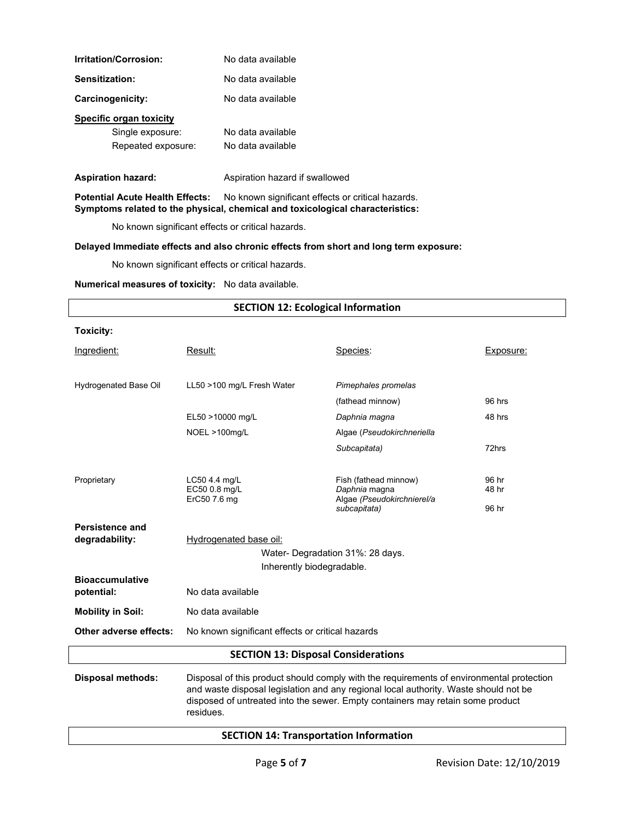| Irritation/Corrosion:                  | No data available                                                             |                                                                                       |           |  |
|----------------------------------------|-------------------------------------------------------------------------------|---------------------------------------------------------------------------------------|-----------|--|
| Sensitization:                         | No data available                                                             |                                                                                       |           |  |
| Carcinogenicity:                       | No data available                                                             |                                                                                       |           |  |
| <b>Specific organ toxicity</b>         |                                                                               |                                                                                       |           |  |
| Single exposure:                       | No data available                                                             |                                                                                       |           |  |
| Repeated exposure:                     | No data available                                                             |                                                                                       |           |  |
| <b>Aspiration hazard:</b>              | Aspiration hazard if swallowed                                                |                                                                                       |           |  |
| <b>Potential Acute Health Effects:</b> | Symptoms related to the physical, chemical and toxicological characteristics: | No known significant effects or critical hazards.                                     |           |  |
|                                        | No known significant effects or critical hazards.                             |                                                                                       |           |  |
|                                        |                                                                               | Delayed Immediate effects and also chronic effects from short and long term exposure: |           |  |
|                                        | No known significant effects or critical hazards.                             |                                                                                       |           |  |
|                                        | Numerical measures of toxicity: No data available.                            |                                                                                       |           |  |
|                                        |                                                                               | <b>SECTION 12: Ecological Information</b>                                             |           |  |
| Toxicity:                              |                                                                               |                                                                                       |           |  |
| Ingredient:                            | Result:                                                                       | Species:                                                                              | Exposure: |  |
| Hydrogenated Base Oil                  | LL50 >100 mg/L Fresh Water                                                    | Pimephales promelas                                                                   |           |  |
|                                        |                                                                               | (fathead minnow)                                                                      | 96 hrs    |  |
|                                        | EL50 >10000 mg/L                                                              | Daphnia magna                                                                         | 48 hrs    |  |
|                                        | NOEL >100mg/L                                                                 | Algae (Pseudokirchneriella                                                            |           |  |
|                                        |                                                                               | Subcapitata)                                                                          | 72hrs     |  |
|                                        |                                                                               |                                                                                       |           |  |

Proprietary LC50 4.4 mg/L<br>EC50 0.8 mg/L Fish (fathead minnow) 96 hr<br>48 hr EC50 0.8 mg/L<br>ErC50 7.6 mg<br>**Algae** (*Pseudoki* 

Water- Degradation 31%: 28 days.

Inherently biodegradable.

**SECTION 13: Disposal Considerations**

**Disposal methods:** Disposal of this product should comply with the requirements of environmental protection

**SECTION 14: Transportation Information**

and waste disposal legislation and any regional local authority. Waste should not be disposed of untreated into the sewer. Empty containers may retain some product

**Persistence and** 

**Bioaccumulative** 

degradability: Hydrogenated base oil:

**Other adverse effects:** No known significant effects or critical hazards

residues.

**potential:** No data available **Mobility in Soil:** No data available ErC50 7.6 mg Algae *(Pseudokirchnierel/a* 

*subcapitata)* 96 hr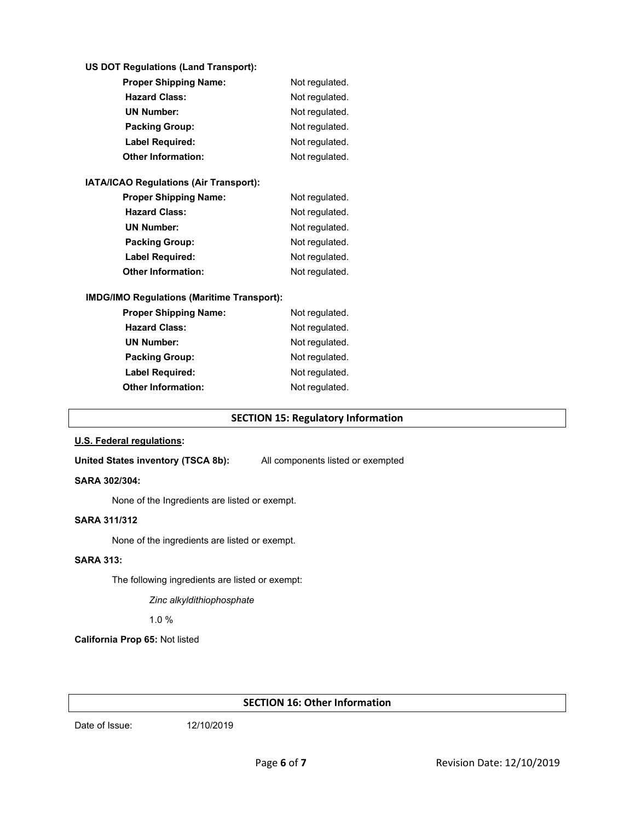#### **US DOT Regulations (Land Transport):**

| <b>Proper Shipping Name:</b> | Not regulated. |  |
|------------------------------|----------------|--|
| <b>Hazard Class:</b>         | Not regulated. |  |
| <b>UN Number:</b>            | Not regulated. |  |
| <b>Packing Group:</b>        | Not regulated. |  |
| <b>Label Required:</b>       | Not regulated. |  |
| <b>Other Information:</b>    | Not regulated. |  |

### **IATA/ICAO Regulations (Air Transport):**

| <b>Proper Shipping Name:</b> | Not regulated. |  |
|------------------------------|----------------|--|
| <b>Hazard Class:</b>         | Not regulated. |  |
| <b>UN Number:</b>            | Not regulated. |  |
| <b>Packing Group:</b>        | Not regulated. |  |
| <b>Label Required:</b>       | Not regulated. |  |
| <b>Other Information:</b>    | Not regulated. |  |

### **IMDG/IMO Regulations (Maritime Transport):**

| <b>Proper Shipping Name:</b> | Not regulated. |  |
|------------------------------|----------------|--|
| <b>Hazard Class:</b>         | Not regulated. |  |
| <b>UN Number:</b>            | Not regulated. |  |
| <b>Packing Group:</b>        | Not regulated. |  |
| <b>Label Required:</b>       | Not regulated. |  |
| Other Information:           | Not regulated. |  |
|                              |                |  |

### **SECTION 15: Regulatory Information**

#### **U.S. Federal regulations:**

United States inventory (TSCA 8b): All components listed or exempted

#### **SARA 302/304:**

None of the Ingredients are listed or exempt.

#### **SARA 311/312**

None of the ingredients are listed or exempt.

### **SARA 313:**

The following ingredients are listed or exempt:

*Zinc alkyldithiophosphate*

1.0 %

**California Prop 65:** Not listed

### **SECTION 16: Other Information**

Date of Issue: 12/10/2019